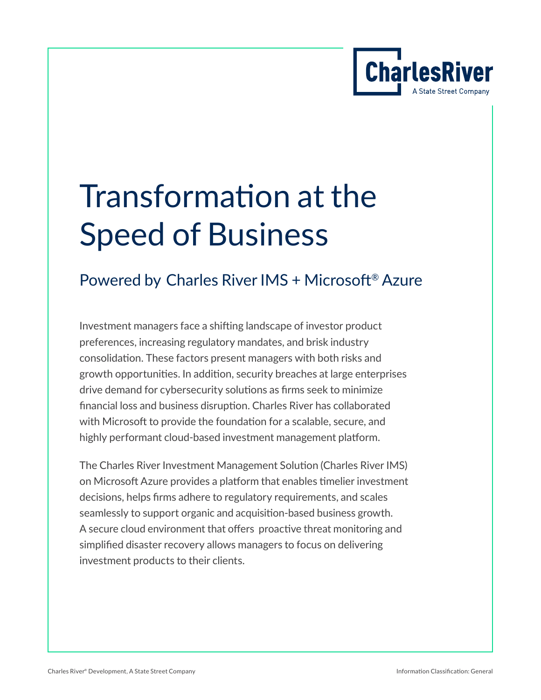

# Transformation at the Speed of Business

# Powered by Charles River IMS + Microsoft® Azure

Investment managers face a shifting landscape of investor product preferences, increasing regulatory mandates, and brisk industry consolidation. These factors present managers with both risks and growth opportunities. In addition, security breaches at large enterprises drive demand for cybersecurity solutions as firms seek to minimize financial loss and business disruption. Charles River has collaborated with Microsoft to provide the foundation for a scalable, secure, and highly performant cloud-based investment management platform.

The Charles River Investment Management Solution (Charles River IMS) on Microsoft Azure provides a platform that enables timelier investment decisions, helps firms adhere to regulatory requirements, and scales seamlessly to support organic and acquisition-based business growth. A secure cloud environment that offers proactive threat monitoring and simplified disaster recovery allows managers to focus on delivering investment products to their clients.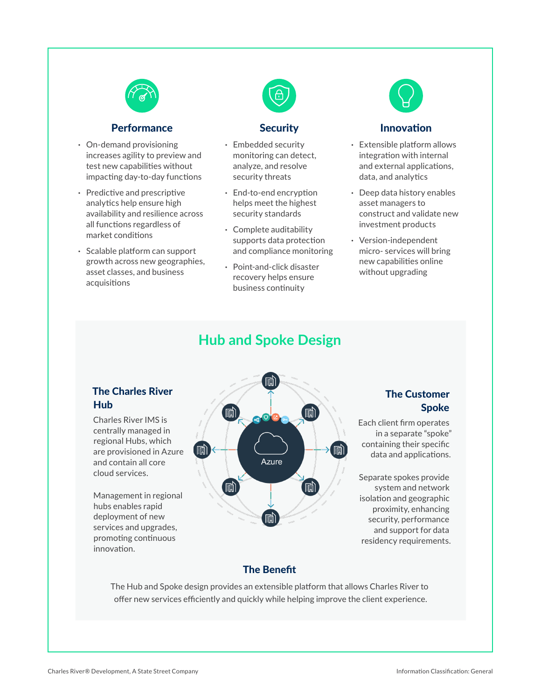

#### **Performance**

- **·** On-demand provisioning increases agility to preview and test new capabilities without impacting day-to-day functions
- **·** Predictive and prescriptive analytics help ensure high availability and resilience across all functions regardless of market conditions
- **·** Scalable platform can support growth across new geographies, asset classes, and business acquisitions



#### **Security**

- **·** Embedded security monitoring can detect, analyze, and resolve security threats
- **·** End-to-end encryption helps meet the highest security standards
- **·** Complete auditability supports data protection and compliance monitoring
- **·** Point-and-click disaster recovery helps ensure business continuity



#### Innovation

- **·** Extensible platform allows integration with internal and external applications, data, and analytics
- **·** Deep data history enables asset managers to construct and validate new investment products
- **·** Version-independent micro- services will bring new capabilities online without upgrading

### **Hub and Spoke Design**

#### The Charles River Hub

Charles River IMS is centrally managed in regional Hubs, which are provisioned in Azure and contain all core cloud services.

Management in regional hubs enables rapid deployment of new services and upgrades, promoting continuous innovation.



#### The Customer Spoke

Each client firm operates in a separate "spoke" containing their specific data and applications.

Separate spokes provide system and network isolation and geographic proximity, enhancing security, performance and support for data residency requirements.

#### The Benefit

The Hub and Spoke design provides an extensible platform that allows Charles River to offer new services efficiently and quickly while helping improve the client experience.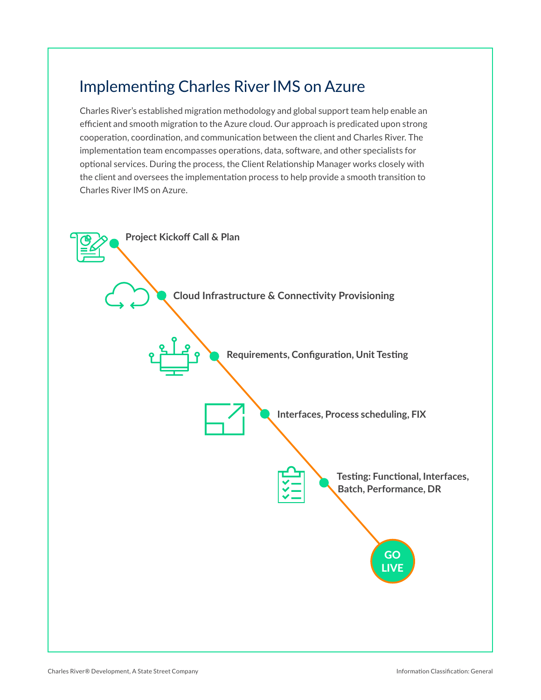## Implementing Charles River IMS on Azure

Charles River's established migration methodology and global support team help enable an efficient and smooth migration to the Azure cloud. Our approach is predicated upon strong cooperation, coordination, and communication between the client and Charles River. The implementation team encompasses operations, data, software, and other specialists for optional services. During the process, the Client Relationship Manager works closely with the client and oversees the implementation process to help provide a smooth transition to Charles River IMS on Azure.